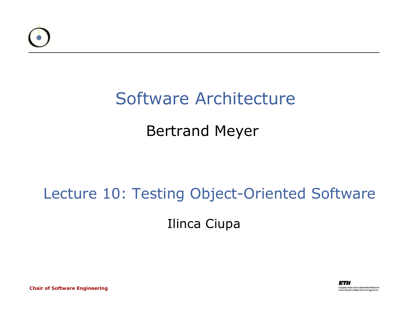

#### Software Architecture

#### Bertrand Meyer

#### Lecture 10: Testing Object-Oriented Software

Ilinca Ciupa



*Chair of Software Engineering*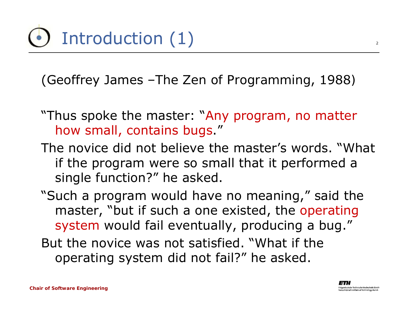(Geoffrey James –*The Zen of Programming*, 1988*)*

- "Thus spoke the master: "Any program, no matter how small, contains bugs."
- The novice did not believe the master's words. "What if the program were so small that it performed a single function?" he asked.
- "Such a program would have no meaning," said the master, "but if such a one existed, the operating system would fail eventually, producing a bug."
- But the novice was not satisfied. "What if the operating system did not fail?" he asked.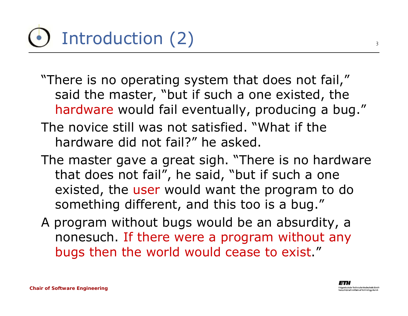## Introduction (2)

- "There is no operating system that does not fail," said the master, "but if such a one existed, the hardware would fail eventually, producing a bug."
- The novice still was not satisfied. "What if the hardware did not fail?" he asked.
- The master gave a great sigh. "There is no hardware that does not fail", he said, "but if such a one existed, the user would want the program to do something different, and this too is a bug."
- A program without bugs would be an absurdity, a nonesuch. If there were a program without any bugs then the world would cease to exist."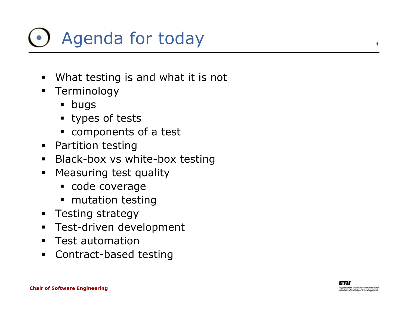

- $\blacksquare$ What testing is and what it is not
- **-** Terminology
	- $\blacksquare$ bugs
	- types of tests
	- components of a test
- **•** Partition testing
- $\blacksquare$ Black-box vs white-box testing
- $\blacksquare$  Measuring test quality
	- code coverage
	- ٠ mutation testing
- **Testing strategy**
- $\blacksquare$ Test-driven development
- $\blacksquare$ Test automation
- $\blacksquare$ Contract-based testing

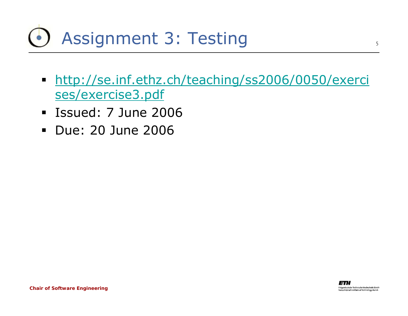### Assignment 3: Testing

- [http://se.inf.ethz.ch/teaching/ss2006/0050/exerci](http://se.inf.ethz.ch/teaching/ss2006/0050/exercises/exercise3.pdf) [ses/exercise3.pdf](http://se.inf.ethz.ch/teaching/ss2006/0050/exercises/exercise3.pdf)
- Issued: 7 June 2006
- Due: 20 June 2006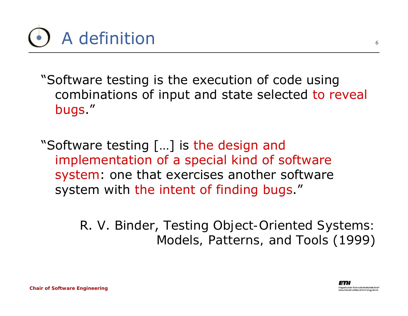

"Software testing is the execution of code using combinations of input and state selected to reveal bugs."

"Software testing […] is the design and implementation of a special kind of software system: one that exercises another software system with the intent of finding bugs."

> R. V. Binder, *Testing Object-Oriented Systems: Models, Patterns, and Tools* (1999)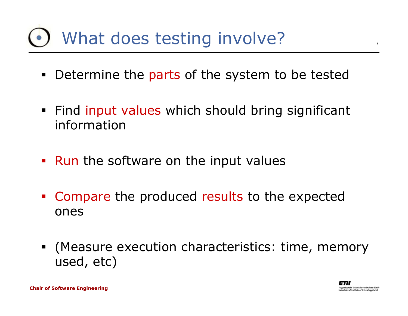### What does testing involve?

- $\blacksquare$ **• Determine the parts of the system to be tested**
- **Find input values which should bring significant** information
- Run the software on the input values
- Compare the produced results to the expected ones
- (Measure execution characteristics: time, memory used, etc)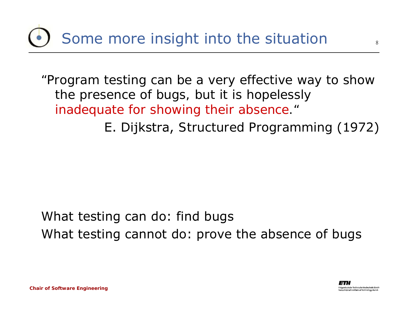### Some more insight into the situation

*"Program testing can be a very effective way to show the presence of bugs, but it is hopelessly inadequate for showing their absence."*

E. Dijkstra, *Structured Programming* (1972)

What testing can do: find bugs What testing cannot do: prove the absence of bugs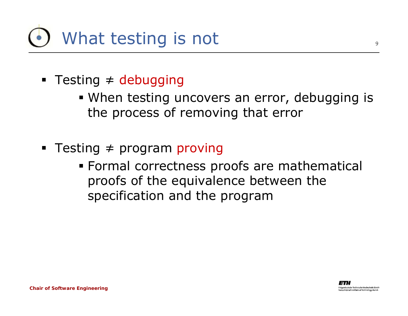

- Testing <sup>≠</sup> debugging
	- When testing uncovers an error, debugging is the process of removing that error
- Testing <sup>≠</sup> program proving
	- Formal correctness proofs are mathematical proofs of the equivalence between the specification and the program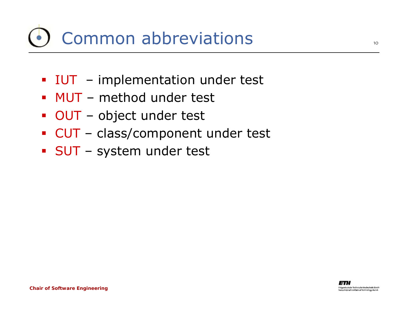### Common abbreviations

- **IUT** implementation under test
- MUT method under test
- OUT object under test
- CUT class/component under test
- SUT system under test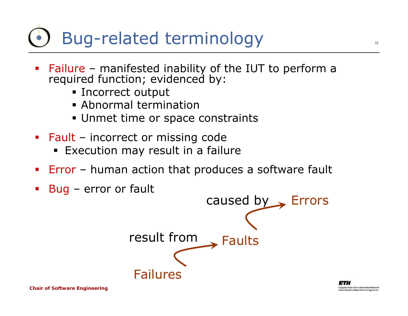### Bug-related terminology

- Failure –Failure – manifested inability of the IUT to perform a<br>required function; evidenced by:
	- **Example 1** Incorrect output
	- Abnormal termination
	- Unmet time or space constraints
- **Fault** incorrect or missing code
	- **Execution may result in a failure**
- **Error** human action that produces a software fault
- Bug error or fault

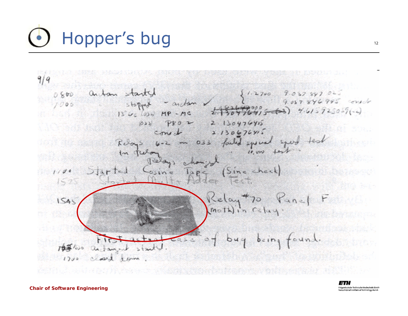# Hopper's bug

arban started  $1.2700$  $7.037547040$  $0.800$ 846995 consolo andan .  $7000$ stopped  $4.615725057(-1)$  $1300(036)MP$  $2.130476415$  $033$  $PRO$  2  $2.130676912$ conect failed special Ruas celon, (Sine check)  $\sum_{i=1}^{n}$  $l$ ap<  $0.512$  $5.23$ Relay #70 Panel F<br>Mothin Celay: 1545 being found.  $649$ 10this andanyed stad closed some  $1700$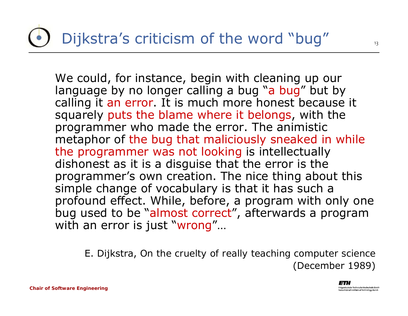### Dijkstra's criticism of the word "bug"

We could, for instance, begin with cleaning up our language by no longer calling a bug "a bug" but by calling it an error. It is much more honest because it squarely puts the blame where it belongs, with the programmer who made the error. The animistic metaphor of the bug that maliciously sneaked in while the programmer was not looking is intellectually dishonest as it is a disguise that the error is the programmer's own creation. The nice thing about this simple change of vocabulary is that it has such a profound effect. While, before, a program with only one bug used to be "almost correct", afterwards a program with an error is just "wrong"...

E. Dijkstra, *On the cruelty of really teaching computer science* (December 1989)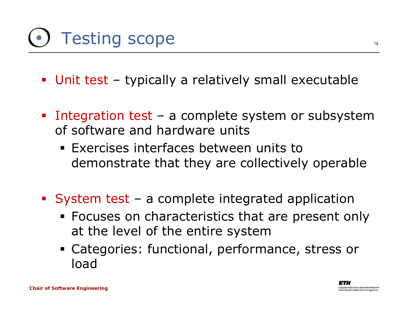# Testing scope

- Unit test typically a relatively small executable
- Integration test a complete system or subsystem of software and hardware units
	- Exercises interfaces between units to demonstrate that they are collectively operable
- System test a complete integrated application
	- **Focuses on characteristics that are present only** at the level of the entire system
	- Categories: functional, performance, stress or load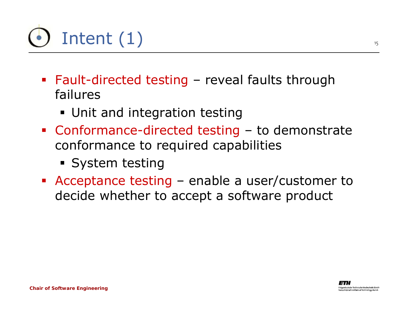

- Fault-directed testing reveal faults through failures
	- Unit and integration testing
- Conformance-directed testing to demonstrate conformance to required capabilities
	- **System testing**
- Acceptance testing enable a user/customer to decide whether to accept a software product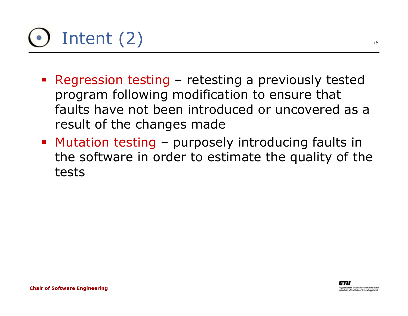

- Regression testing retesting a previously tested program following modification to ensure that faults have not been introduced or uncovered as a result of the changes made
- Mutation testing purposely introducing faults in the software in order to estimate the quality of the tests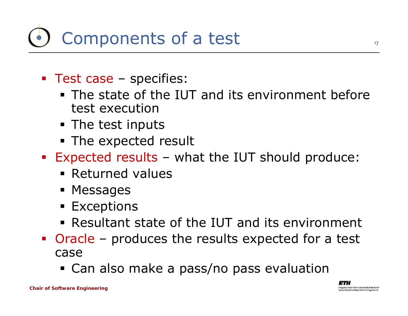### Components of a test

- **Test case specifies:** 
	- **The state of the IUT and its environment before** test execution
	- **The test inputs**
	- **The expected result**
- Expected results what the IUT should produce:
	- **Returned values**
	- Messages
	- $\blacksquare$  Exceptions
	- Resultant state of the IUT and its environment
- Oracle produces the results expected for a test case
	- Can also make a pass/no pass evaluation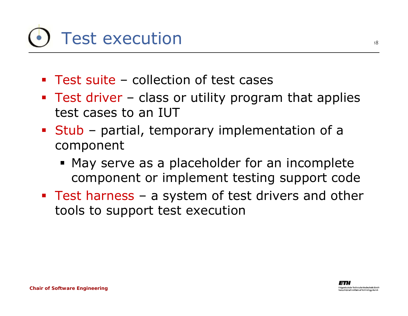## Test execution

- Test suite collection of test cases
- **Test driver class or utility program that applies** test cases to an IUT
- **Stub** partial, temporary implementation of a component
	- **May serve as a placeholder for an incomplete** component or implement testing support code
- **Test harness a system of test drivers and other** tools to support test execution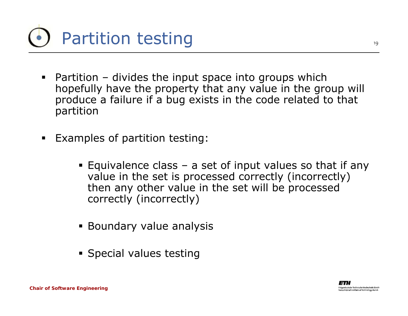

- Partition divides the input space into groups which hopefully have the property that any value in the group will produce a failure if a bug exists in the code related to that partition
- $\blacksquare$  Examples of partition testing:
	- Equivalence class a set of input values so that if any value in the set is processed correctly (incorrectly) then any other value in the set will be processed correctly (incorrectly)
	- **Boundary value analysis**
	- **Special values testing**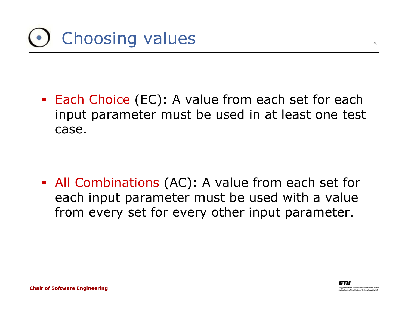

**Each Choice (EC): A value from each set for each** input parameter must be used in at least one test case.

 All Combinations (AC): A value from each set for each input parameter must be used with a value from every set for every other input parameter.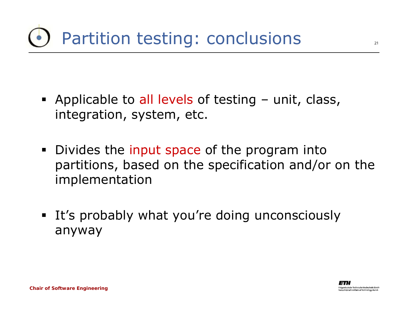- **Applicable to all levels of testing unit, class,** integration, system, etc.
- Divides the input space of the program into partitions, based on the specification and/or on the implementation
- **It's probably what you're doing unconsciously** anyway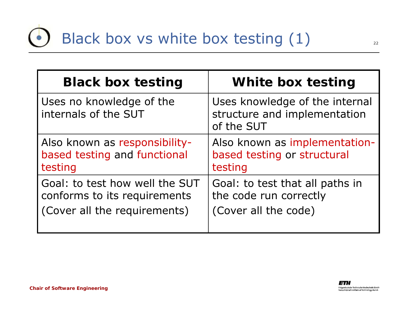| <b>Black box testing</b>                         | White box testing                                                            |
|--------------------------------------------------|------------------------------------------------------------------------------|
| Uses no knowledge of the<br>internals of the SUT | Uses knowledge of the internal<br>structure and implementation<br>of the SUT |
| Also known as responsibility-                    | Also known as implementation-                                                |
| based testing and functional                     | based testing or structural                                                  |
| testing                                          | testing                                                                      |
| Goal: to test how well the SUT                   | Goal: to test that all paths in                                              |
| conforms to its requirements                     | the code run correctly                                                       |
| (Cover all the requirements)                     | (Cover all the code)                                                         |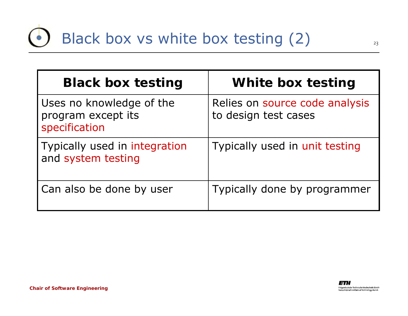| <b>Black box testing</b>                                        | White box testing                                      |
|-----------------------------------------------------------------|--------------------------------------------------------|
| Uses no knowledge of the<br>program except its<br>specification | Relies on source code analysis<br>to design test cases |
| Typically used in integration<br>and system testing             | Typically used in unit testing                         |
| Can also be done by user                                        | Typically done by programmer                           |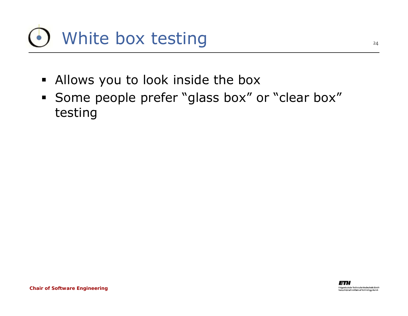

- $\blacksquare$ Allows you to look inside the box
- Some people prefer "glass box" or "clear box" testing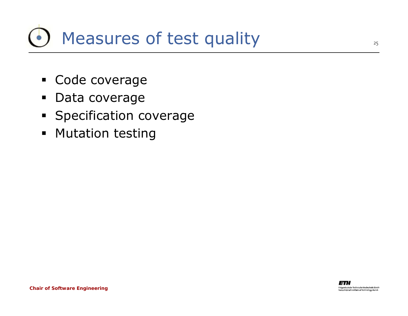### Measures of test quality

- Code coverage
- $\blacksquare$ Data coverage
- **Specification coverage**
- **•** Mutation testing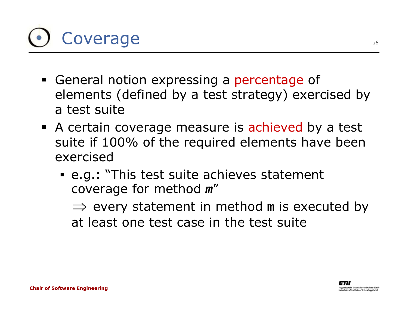

- **General notion expressing a percentage of 4** elements (defined by a test strategy) exercised by a test suite
- A certain coverage measure is achieved by a test suite if 100% of the required elements have been exercised
	- e.g.: "*This test suite achieves statement coverage for method m*"

⇒ every statement in method m is executed by at least one test case in the test suite

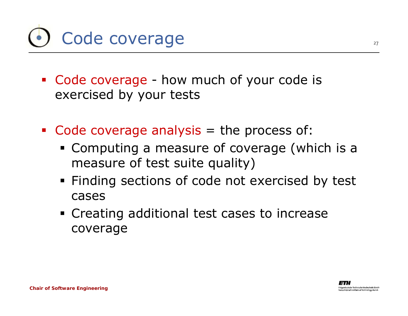

- Code coverage how much of your code is exercised by your tests
- Code coverage analysis = the process of:
	- Computing a measure of coverage (which is a measure of test suite quality)
	- **Finding sections of code not exercised by test** cases
	- **Creating additional test cases to increase** coverage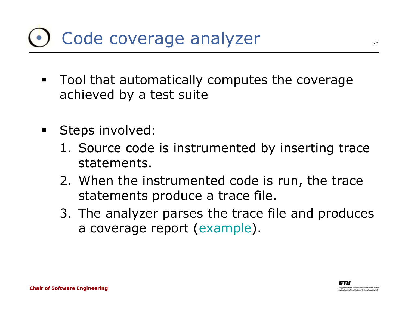### Code coverage analyzer

- $\blacksquare$  . Tool that automatically computes the coverage achieved by a test suite
- $\blacksquare$  Steps involved:
	- 1. Source code is instrumented by inserting trace statements.
	- 2. When the instrumented code is run, the trace statements produce a trace file.
	- 3. The analyzer parses the trace file and produces a coverage report ([example](http://www.cenqua.com/clover/eg/jboss/report/)).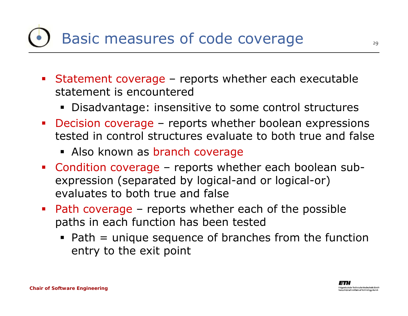### Basic measures of code coverage

- Statement coverage reports whether each executable statement is encountered
	- Disadvantage: insensitive to some control structures
- Decision coverage reports whether boolean expressions tested in control structures evaluate to both true and false
	- Also known as branch coverage
- Condition coverage reports whether each boolean subexpression (separated by logical-and or logical-or) evaluates to both true and false
- Path coverage reports whether each of the possible paths in each function has been tested
	- Path = unique sequence of branches from the function entry to the exit point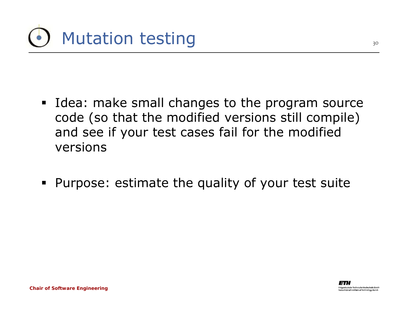

- **Idea: make small changes to the program source** code (so that the modified versions still compile) and see if your test cases fail for the modified versions
- Purpose: estimate the quality of your test suite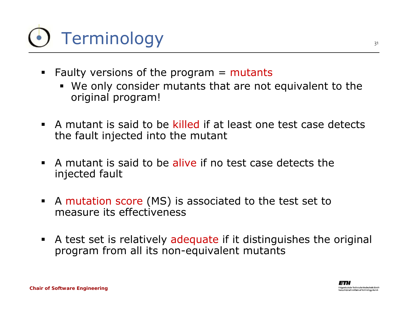# Terminology

- **Faulty versions of the program = mutants** 
	- We only consider mutants that are not equivalent to the original program!
- A mutant is said to be killed if at least one test case detects the fault injected into the mutant
- A mutant is said to be alive if no test case detects the injected fault
- $\blacksquare$  A mutation score (MS) is associated to the test set to measure its effectiveness
- A test set is relatively adequate if it distinguishes the original program from all its non-equivalent mutants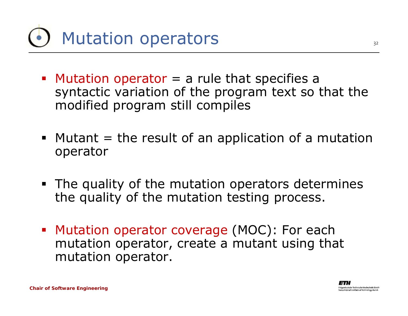

- $\blacksquare$  Mutation operator  $=$  a rule that specifies a syntactic variation of the program text so that the modified program still compiles
- $\blacksquare$  Mutant  $=$  the result of an application of a mutation operator
- **The quality of the mutation operators determines** the quality of the mutation testing process.
- **Mutation operator coverage (MOC): For each** mutation operator, create a mutant using that mutation operator.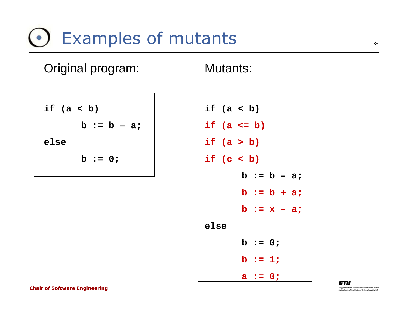### Examples of mutants

**if (a < b) b := b – a; else b := 0;**

Original program:

**if (a < b) if (a <= b) if (a > b) if (c < b) b := b – a; b := b + a; b := x – a; elseb := 0; b := 1; a := 0;**

Mutants: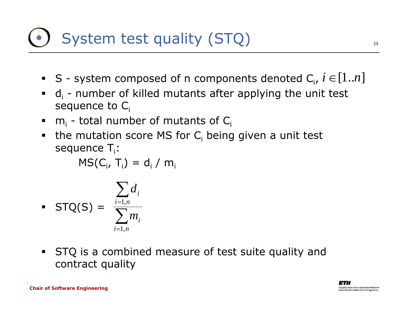### System test quality (STQ)

- S system composed of n components denoted  $C_i$ ,  $i \in [1..n]$
- $\blacksquare$  d<sub>i</sub> number of killed mutants after applying the unit test sequence to  $C_i$
- m<sub>i</sub> total number of mutants of C<sub>i</sub>
- **the mutation score MS for C**<sub>i</sub> being given a unit test sequence  $T_i$ :

 $\mathsf{MS}(\mathsf{C}_\mathsf{i},\,\mathsf{T}_\mathsf{i})\,=\,\mathsf{d}_\mathsf{i}\,/\,\mathsf{m}_\mathsf{i}$ 

$$
\blacksquare \quad \text{STQ}(S) = \frac{\sum_{i=1,n} d_i}{\sum_{i=1,n} m_i}
$$

 $\blacksquare$  STQ is a combined measure of test suite quality and contract quality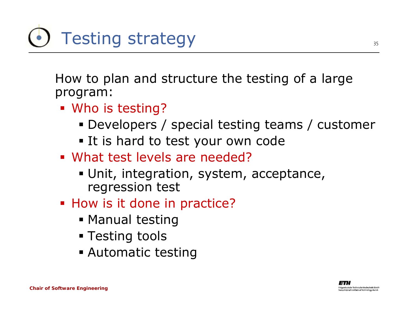

How to plan and structure the testing of a large program:

- Who is testing?
	- Developers / special testing teams / customer
	- **.** It is hard to test your own code
- What test levels are needed?
	- Unit, integration, system, acceptance, regression test
- **How is it done in practice?** 
	- **Manual testing**
	- Testing tools
	- Automatic testing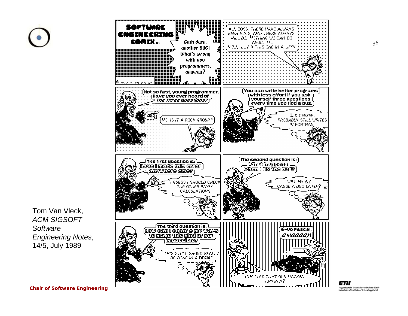



Tom Van Vleck, *ACM SIGSOFT Software Engineering Notes*, 14/5, July 1989

ETH idgenössische Technische Hochschule Zürich rdesal Institute af feshnaloge Zurich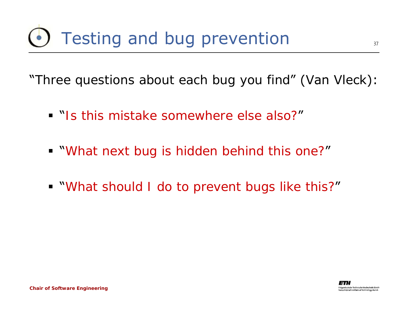### Testing and bug prevention

"*Three questions about each bug you find*" (Van Vleck):

- "*Is this mistake somewhere else also?*"
- "*What next bug is hidden behind this one?*"
- "*What should I do to prevent bugs like this?*"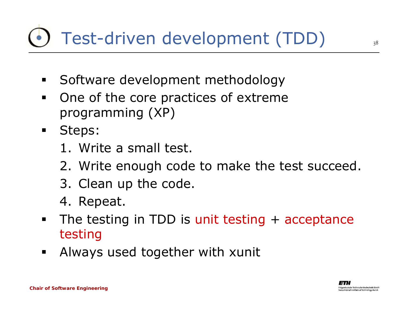### Test-driven development (TDD)

- $\blacksquare$ Software development methodology
- $\blacksquare$  One of the core practices of extreme programming (XP)
- $\blacksquare$  Steps:
	- 1. Write a small test.
	- 2. Write enough code to make the test succeed.
	- 3. Clean up the code.
	- 4. Repeat.
- $\blacksquare$ The testing in TDD is unit testing + acceptance testing
- $\blacksquare$ Always used together with xunit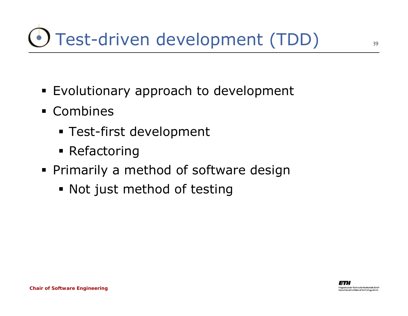## Test-driven development (TDD)

- **Evolutionary approach to development**
- Combines
	- Test-first development
	- **Refactoring**
- **Primarily a method of software design** 
	- Not just method of testing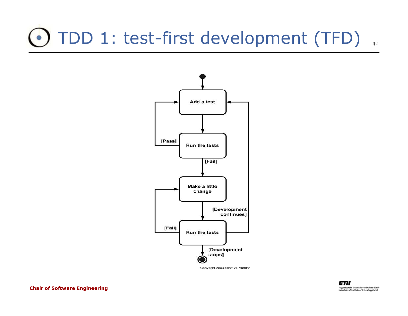### TDD 1: test-first development (TFD)



Copyright 2003 Scott W. Ambler

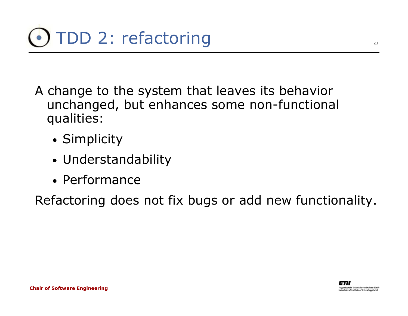- A change to the system that leaves its behavior unchanged, but enhances some non-functional qualities:
	- Simplicity
	- Understandability
	- Performance

Refactoring does not fix bugs or add new functionality.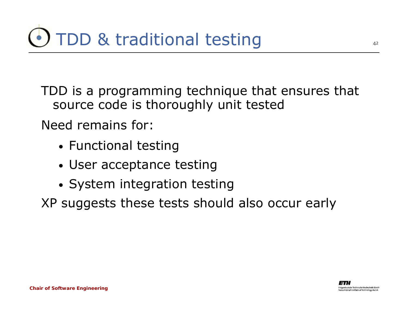TDD is a programming technique that ensures that source code is thoroughly unit tested

Need remains for:

- Functional testing
- User acceptance testing
- System integration testing

XP suggests these tests should also occur early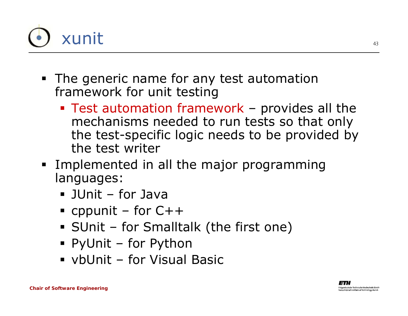

- **The generic name for any test automation** framework for unit testing
	- Test automation framework provides all the mechanisms needed to run tests so that only the test-specific logic needs to be provided by the test writer
- **Implemented in all the major programming** languages:
	- JUnit for Java
	- $\blacksquare$  cppunit for C++
	- SUnit for Smalltalk (the first one)
	- PyUnit for Python
	- vbUnit for Visual Basic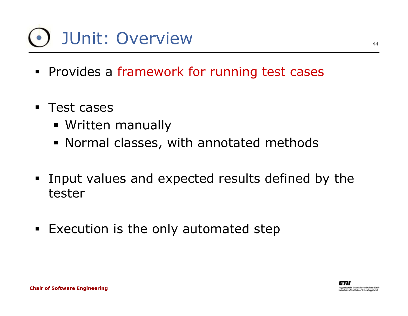## JUnit: Overview

- **Provides a framework for running test cases**
- $\blacksquare$  Test cases
	- Written manually
	- Normal classes, with annotated methods
- $\blacksquare$  Input values and expected results defined by the tester
- **Execution is the only automated step**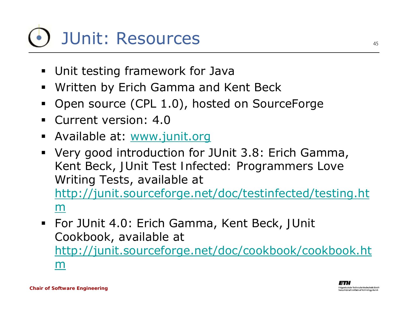# JUnit: Resources

- Unit testing framework for Java
- $\blacksquare$ Written by Erich Gamma and Kent Beck
- $\blacksquare$ Open source (CPL 1.0), hosted on SourceForge
- $\blacksquare$ Current version: 4.0
- **-** Available at: [www.junit.org](http://www.junit.org/)
- Very good introduction for JUnit 3.8: Erich Gamma, Kent Beck, *JUnit Test Infected: Programmers Love Writing Tests*, available at [http://junit.sourceforge.net/doc/testinfected/testing.ht](http://junit.sourceforge.net/doc/testinfected/testing.htm) [m](http://junit.sourceforge.net/doc/testinfected/testing.htm)
- For JUnit 4.0: Erich Gamma, Kent Beck, *JUnit Cookbook*, available at [http://junit.sourceforge.net/doc/cookbook/cookbook.ht](http://junit.sourceforge.net/doc/cookbook/cookbook.htm) [m](http://junit.sourceforge.net/doc/cookbook/cookbook.htm)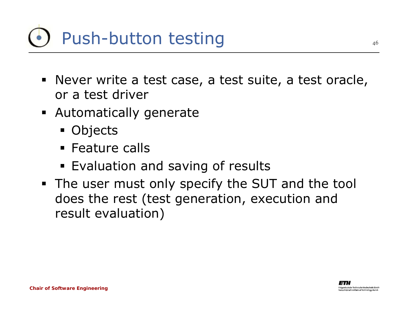### Push-button testing

- Never write a test case, a test suite, a test oracle, or a test driver
- Automatically generate
	- Objects
	- **Eature calls**
	- **Evaluation and saving of results**
- **The user must only specify the SUT and the tool** does the rest (test generation, execution and result evaluation)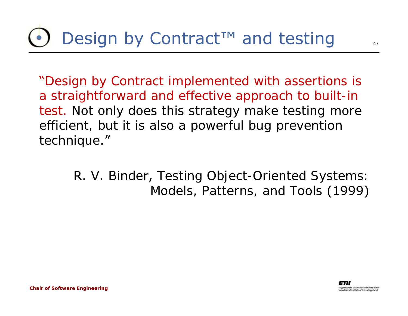"*Design by Contract implemented with assertions is a straightforward and effective approach to built-in test. Not only does this strategy make testing more efficient, but it is also a powerful bug prevention technique*."

> R. V. Binder, *Testing Object-Oriented Systems: Models, Patterns, and Tools* (1999)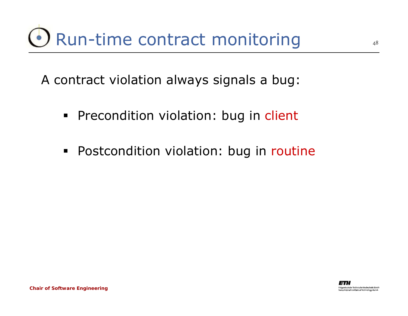A contract violation always signals a bug:

- **Precondition violation: bug in client**
- **Postcondition violation: bug in routine**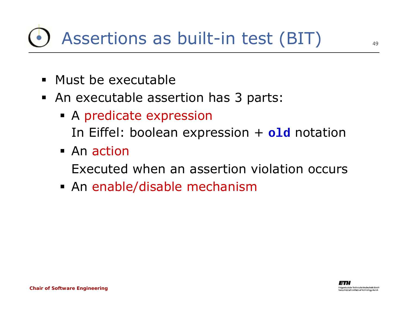### Assertions as built-in test (BIT)

- Must be executable
- An executable assertion has 3 parts:
	- A predicate expression In Eiffel: boolean expression + **old** notation
	- An action

Executed when an assertion violation occurs

An enable/disable mechanism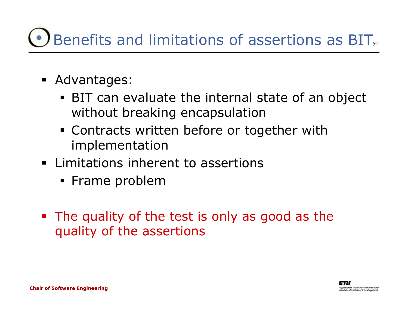### Benefits and limitations of assertions as BIT,.

- Advantages:
	- BIT can evaluate the internal state of an object without breaking encapsulation
	- Contracts written before or together with implementation
- **EXALLE 1.1 Exalle 1.1 Limitations Limitations** 
	- **Frame problem**
- The quality of the test is only as good as the quality of the assertions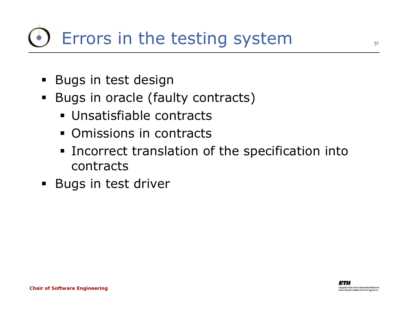### Errors in the testing system

- **Bugs in test design**
- $\blacksquare$  Bugs in oracle (faulty contracts)
	- Unsatisfiable contracts
	- **Omissions in contracts**
	- **Incorrect translation of the specification into** contracts
- **Bugs in test driver**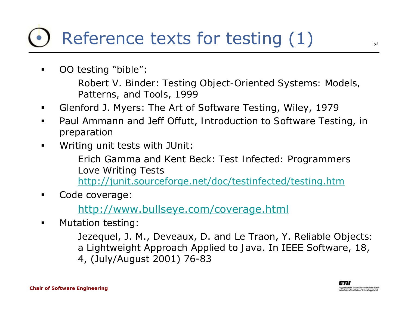### Reference texts for testing (1)

■ OO testing "bible":

> Robert V. Binder: *Testing Object-Oriented Systems: Models, Patterns, and Tools*, 1999

- Glenford J. Myers: *The Art of Software Testing*, Wiley, 1979
- Paul Ammann and Jeff Offutt, *Introduction to Software Testing*, in preparation
- $\blacksquare$ Writing unit tests with JUnit:

Erich Gamma and Kent Beck: *Test Infected: Programmers Love Writing Tests* <http://junit.sourceforge.net/doc/testinfected/testing.htm>

■ Code coverage:

<http://www.bullseye.com/coverage.html>

■ Mutation testing:

> Jezequel, J. M., Deveaux, D. and Le Traon, Y. *Reliable Objects: a Lightweight Approach Applied to Java*. In IEEE Software, 18, 4, (July/August 2001) 76-83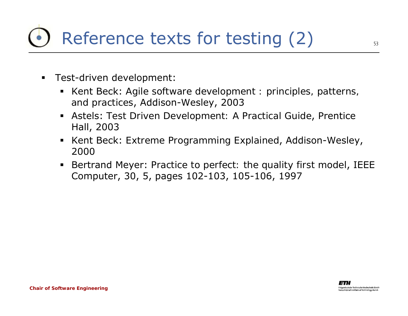- $\blacksquare$  Test-driven development:
	- Kent Beck: *Agile software development : principles, patterns, and practices*, Addison-Wesley, 2003
	- Astels: *Test Driven Development: A Practical Guide*, Prentice Hall, 2003
	- Kent Beck: *Extreme Programming Explained*, Addison-Wesley, 2000
	- $\blacksquare$  Bertrand Meyer: *Practice to perfect: the quality first model*, IEEE Computer, 30, 5, pages 102-103, 105-106, 1997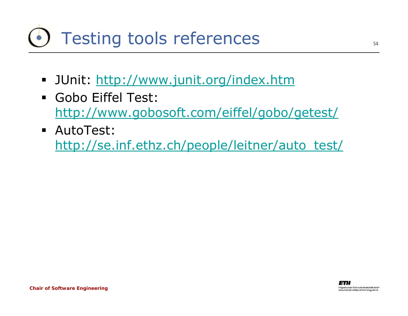### Testing tools references

- JUnit:<http://www.junit.org/index.htm>
- Gobo Eiffel Test: <http://www.gobosoft.com/eiffel/gobo/getest/>
- AutoTest: [http://se.inf.ethz.ch/people/leitner/auto\\_test/](http://se.inf.ethz.ch/people/leitner/auto_test/)